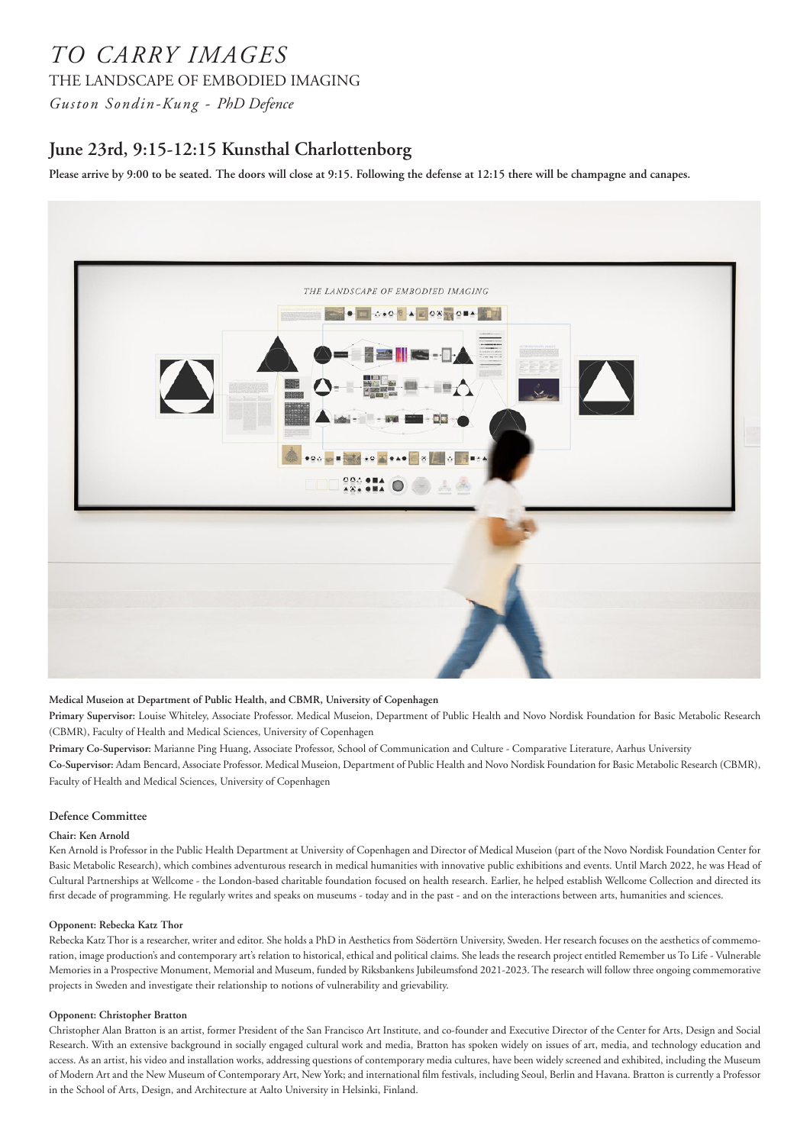# *TO CARRY IMAGES*

THE LANDSCAPE OF EMBODIED IMAGING

*Guston Sondin-Kung - PhD Defence*

# **June 23rd, 9:15-12:15 Kunsthal Charlottenborg**

**Please arrive by 9:00 to be seated. The doors will close at 9:15. Following the defense at 12:15 there will be champagne and canapes.**



# **Medical Museion at Department of Public Health, and CBMR, University of Copenhagen**

**Primary Supervisor:** Louise Whiteley, Associate Professor. Medical Museion, Department of Public Health and Novo Nordisk Foundation for Basic Metabolic Research (CBMR), Faculty of Health and Medical Sciences, University of Copenhagen

**Primary Co-Supervisor:** Marianne Ping Huang, Associate Professor, School of Communication and Culture - Comparative Literature, Aarhus University **Co-Supervisor:** Adam Bencard, Associate Professor. Medical Museion, Department of Public Health and Novo Nordisk Foundation for Basic Metabolic Research (CBMR), Faculty of Health and Medical Sciences, University of Copenhagen

# **Defence Committee**

# **Chair: Ken Arnold**

Ken Arnold is Professor in the Public Health Department at University of Copenhagen and Director of Medical Museion (part of the Novo Nordisk Foundation Center for Basic Metabolic Research), which combines adventurous research in medical humanities with innovative public exhibitions and events. Until March 2022, he was Head of Cultural Partnerships at Wellcome - the London-based charitable foundation focused on health research. Earlier, he helped establish Wellcome Collection and directed its first decade of programming. He regularly writes and speaks on museums - today and in the past - and on the interactions between arts, humanities and sciences.

#### **Opponent: Rebecka Katz Thor**

Rebecka Katz Thor is a researcher, writer and editor. She holds a PhD in Aesthetics from Södertörn University, Sweden. Her research focuses on the aesthetics of commemoration, image production's and contemporary art's relation to historical, ethical and political claims. She leads the research project entitled Remember us To Life - Vulnerable Memories in a Prospective Monument, Memorial and Museum, funded by Riksbankens Jubileumsfond 2021-2023. The research will follow three ongoing commemorative projects in Sweden and investigate their relationship to notions of vulnerability and grievability.

#### **Opponent: Christopher Bratton**

Christopher Alan Bratton is an artist, former President of the San Francisco Art Institute, and co-founder and Executive Director of the Center for Arts, Design and Social Research. With an extensive background in socially engaged cultural work and media, Bratton has spoken widely on issues of art, media, and technology education and access. As an artist, his video and installation works, addressing questions of contemporary media cultures, have been widely screened and exhibited, including the Museum of Modern Art and the New Museum of Contemporary Art, New York; and international film festivals, including Seoul, Berlin and Havana. Bratton is currently a Professor in the School of Arts, Design, and Architecture at Aalto University in Helsinki, Finland.